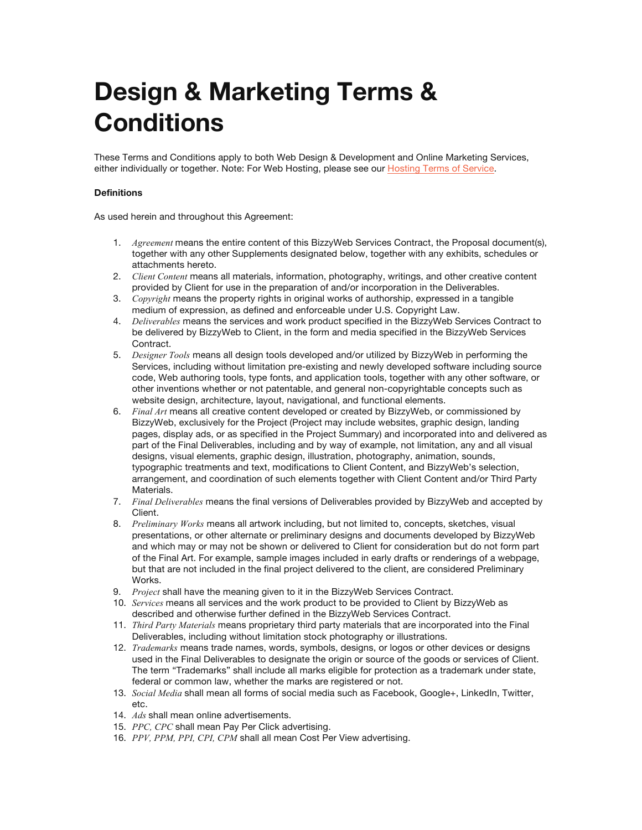# **Design & Marketing Terms & Conditions**

These Terms and Conditions apply to both Web Design & Development and Online Marketing Services, either individually or together. Note: For Web Hosting, please see our Hosting Terms of Service.

# **Definitions**

As used herein and throughout this Agreement:

- 1. *Agreement* means the entire content of this BizzyWeb Services Contract, the Proposal document(s), together with any other Supplements designated below, together with any exhibits, schedules or attachments hereto.
- 2. *Client Content* means all materials, information, photography, writings, and other creative content provided by Client for use in the preparation of and/or incorporation in the Deliverables.
- 3. *Copyright* means the property rights in original works of authorship, expressed in a tangible medium of expression, as defined and enforceable under U.S. Copyright Law.
- 4. *Deliverables* means the services and work product specified in the BizzyWeb Services Contract to be delivered by BizzyWeb to Client, in the form and media specified in the BizzyWeb Services Contract.
- 5. *Designer Tools* means all design tools developed and/or utilized by BizzyWeb in performing the Services, including without limitation pre-existing and newly developed software including source code, Web authoring tools, type fonts, and application tools, together with any other software, or other inventions whether or not patentable, and general non-copyrightable concepts such as website design, architecture, layout, navigational, and functional elements.
- 6. *Final Art* means all creative content developed or created by BizzyWeb, or commissioned by BizzyWeb, exclusively for the Project (Project may include websites, graphic design, landing pages, display ads, or as specified in the Project Summary) and incorporated into and delivered as part of the Final Deliverables, including and by way of example, not limitation, any and all visual designs, visual elements, graphic design, illustration, photography, animation, sounds, typographic treatments and text, modifications to Client Content, and BizzyWeb's selection, arrangement, and coordination of such elements together with Client Content and/or Third Party Materials.
- 7. *Final Deliverables* means the final versions of Deliverables provided by BizzyWeb and accepted by Client.
- 8. *Preliminary Works* means all artwork including, but not limited to, concepts, sketches, visual presentations, or other alternate or preliminary designs and documents developed by BizzyWeb and which may or may not be shown or delivered to Client for consideration but do not form part of the Final Art. For example, sample images included in early drafts or renderings of a webpage, but that are not included in the final project delivered to the client, are considered Preliminary Works.
- 9. *Project* shall have the meaning given to it in the BizzyWeb Services Contract.
- 10. *Services* means all services and the work product to be provided to Client by BizzyWeb as described and otherwise further defined in the BizzyWeb Services Contract.
- 11. *Third Party Materials* means proprietary third party materials that are incorporated into the Final Deliverables, including without limitation stock photography or illustrations.
- 12. *Trademarks* means trade names, words, symbols, designs, or logos or other devices or designs used in the Final Deliverables to designate the origin or source of the goods or services of Client. The term "Trademarks" shall include all marks eligible for protection as a trademark under state, federal or common law, whether the marks are registered or not.
- 13. *Social Media* shall mean all forms of social media such as Facebook, Google+, LinkedIn, Twitter, etc.
- 14. *Ads* shall mean online advertisements.
- 15. *PPC, CPC* shall mean Pay Per Click advertising.
- 16. *PPV, PPM, PPI, CPI, CPM* shall all mean Cost Per View advertising.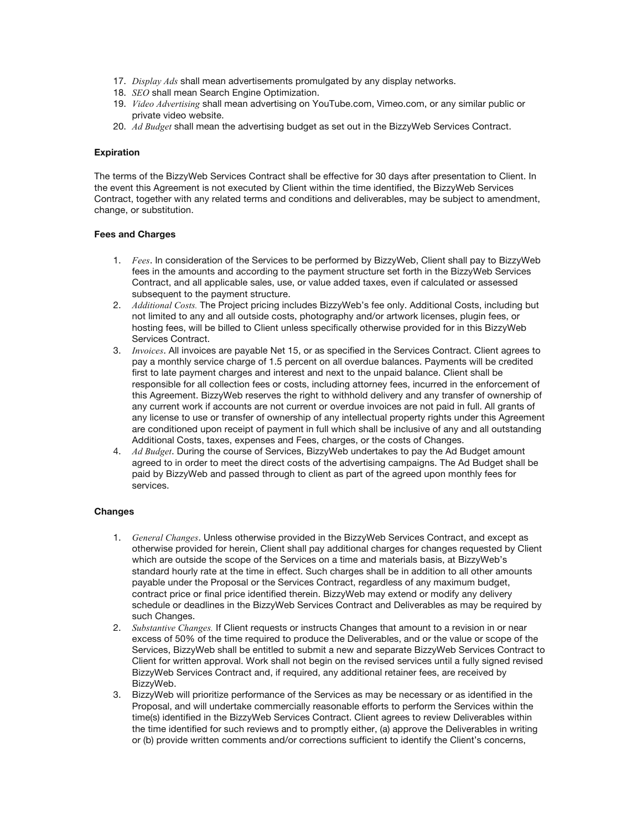- 17. *Display Ads* shall mean advertisements promulgated by any display networks.
- 18. *SEO* shall mean Search Engine Optimization.
- 19. *Video Advertising* shall mean advertising on YouTube.com, Vimeo.com, or any similar public or private video website.
- 20. *Ad Budget* shall mean the advertising budget as set out in the BizzyWeb Services Contract.

## **Expiration**

The terms of the BizzyWeb Services Contract shall be effective for 30 days after presentation to Client. In the event this Agreement is not executed by Client within the time identified, the BizzyWeb Services Contract, together with any related terms and conditions and deliverables, may be subject to amendment, change, or substitution.

## **Fees and Charges**

- 1. *Fees*. In consideration of the Services to be performed by BizzyWeb, Client shall pay to BizzyWeb fees in the amounts and according to the payment structure set forth in the BizzyWeb Services Contract, and all applicable sales, use, or value added taxes, even if calculated or assessed subsequent to the payment structure.
- 2. *Additional Costs.* The Project pricing includes BizzyWeb's fee only. Additional Costs, including but not limited to any and all outside costs, photography and/or artwork licenses, plugin fees, or hosting fees, will be billed to Client unless specifically otherwise provided for in this BizzyWeb Services Contract.
- 3. *Invoices*. All invoices are payable Net 15, or as specified in the Services Contract. Client agrees to pay a monthly service charge of 1.5 percent on all overdue balances. Payments will be credited first to late payment charges and interest and next to the unpaid balance. Client shall be responsible for all collection fees or costs, including attorney fees, incurred in the enforcement of this Agreement. BizzyWeb reserves the right to withhold delivery and any transfer of ownership of any current work if accounts are not current or overdue invoices are not paid in full. All grants of any license to use or transfer of ownership of any intellectual property rights under this Agreement are conditioned upon receipt of payment in full which shall be inclusive of any and all outstanding Additional Costs, taxes, expenses and Fees, charges, or the costs of Changes.
- 4. *Ad Budget*. During the course of Services, BizzyWeb undertakes to pay the Ad Budget amount agreed to in order to meet the direct costs of the advertising campaigns. The Ad Budget shall be paid by BizzyWeb and passed through to client as part of the agreed upon monthly fees for services.

# **Changes**

- 1. *General Changes*. Unless otherwise provided in the BizzyWeb Services Contract, and except as otherwise provided for herein, Client shall pay additional charges for changes requested by Client which are outside the scope of the Services on a time and materials basis, at BizzyWeb's standard hourly rate at the time in effect. Such charges shall be in addition to all other amounts payable under the Proposal or the Services Contract, regardless of any maximum budget, contract price or final price identified therein. BizzyWeb may extend or modify any delivery schedule or deadlines in the BizzyWeb Services Contract and Deliverables as may be required by such Changes.
- 2. *Substantive Changes.* If Client requests or instructs Changes that amount to a revision in or near excess of 50% of the time required to produce the Deliverables, and or the value or scope of the Services, BizzyWeb shall be entitled to submit a new and separate BizzyWeb Services Contract to Client for written approval. Work shall not begin on the revised services until a fully signed revised BizzyWeb Services Contract and, if required, any additional retainer fees, are received by BizzyWeb.
- 3. BizzyWeb will prioritize performance of the Services as may be necessary or as identified in the Proposal, and will undertake commercially reasonable efforts to perform the Services within the time(s) identified in the BizzyWeb Services Contract. Client agrees to review Deliverables within the time identified for such reviews and to promptly either, (a) approve the Deliverables in writing or (b) provide written comments and/or corrections sufficient to identify the Client's concerns,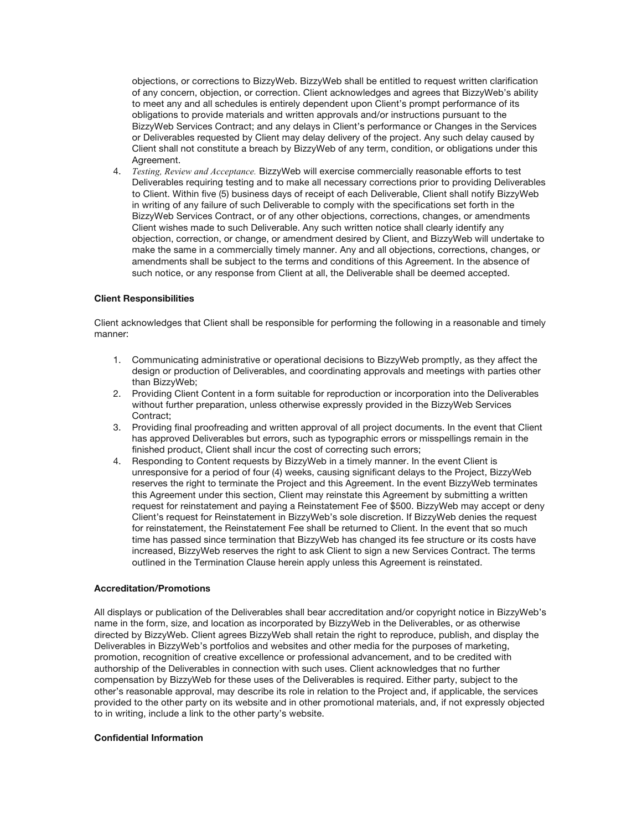objections, or corrections to BizzyWeb. BizzyWeb shall be entitled to request written clarification of any concern, objection, or correction. Client acknowledges and agrees that BizzyWeb's ability to meet any and all schedules is entirely dependent upon Client's prompt performance of its obligations to provide materials and written approvals and/or instructions pursuant to the BizzyWeb Services Contract; and any delays in Client's performance or Changes in the Services or Deliverables requested by Client may delay delivery of the project. Any such delay caused by Client shall not constitute a breach by BizzyWeb of any term, condition, or obligations under this Agreement.

4. *Testing, Review and Acceptance.* BizzyWeb will exercise commercially reasonable efforts to test Deliverables requiring testing and to make all necessary corrections prior to providing Deliverables to Client. Within five (5) business days of receipt of each Deliverable, Client shall notify BizzyWeb in writing of any failure of such Deliverable to comply with the specifications set forth in the BizzyWeb Services Contract, or of any other objections, corrections, changes, or amendments Client wishes made to such Deliverable. Any such written notice shall clearly identify any objection, correction, or change, or amendment desired by Client, and BizzyWeb will undertake to make the same in a commercially timely manner. Any and all objections, corrections, changes, or amendments shall be subject to the terms and conditions of this Agreement. In the absence of such notice, or any response from Client at all, the Deliverable shall be deemed accepted.

## **Client Responsibilities**

Client acknowledges that Client shall be responsible for performing the following in a reasonable and timely manner:

- 1. Communicating administrative or operational decisions to BizzyWeb promptly, as they affect the design or production of Deliverables, and coordinating approvals and meetings with parties other than BizzyWeb;
- 2. Providing Client Content in a form suitable for reproduction or incorporation into the Deliverables without further preparation, unless otherwise expressly provided in the BizzyWeb Services Contract;
- 3. Providing final proofreading and written approval of all project documents. In the event that Client has approved Deliverables but errors, such as typographic errors or misspellings remain in the finished product, Client shall incur the cost of correcting such errors;
- 4. Responding to Content requests by BizzyWeb in a timely manner. In the event Client is unresponsive for a period of four (4) weeks, causing significant delays to the Project, BizzyWeb reserves the right to terminate the Project and this Agreement. In the event BizzyWeb terminates this Agreement under this section, Client may reinstate this Agreement by submitting a written request for reinstatement and paying a Reinstatement Fee of \$500. BizzyWeb may accept or deny Client's request for Reinstatement in BizzyWeb's sole discretion. If BizzyWeb denies the request for reinstatement, the Reinstatement Fee shall be returned to Client. In the event that so much time has passed since termination that BizzyWeb has changed its fee structure or its costs have increased, BizzyWeb reserves the right to ask Client to sign a new Services Contract. The terms outlined in the Termination Clause herein apply unless this Agreement is reinstated.

## **Accreditation/Promotions**

All displays or publication of the Deliverables shall bear accreditation and/or copyright notice in BizzyWeb's name in the form, size, and location as incorporated by BizzyWeb in the Deliverables, or as otherwise directed by BizzyWeb. Client agrees BizzyWeb shall retain the right to reproduce, publish, and display the Deliverables in BizzyWeb's portfolios and websites and other media for the purposes of marketing, promotion, recognition of creative excellence or professional advancement, and to be credited with authorship of the Deliverables in connection with such uses. Client acknowledges that no further compensation by BizzyWeb for these uses of the Deliverables is required. Either party, subject to the other's reasonable approval, may describe its role in relation to the Project and, if applicable, the services provided to the other party on its website and in other promotional materials, and, if not expressly objected to in writing, include a link to the other party's website.

# **Confidential Information**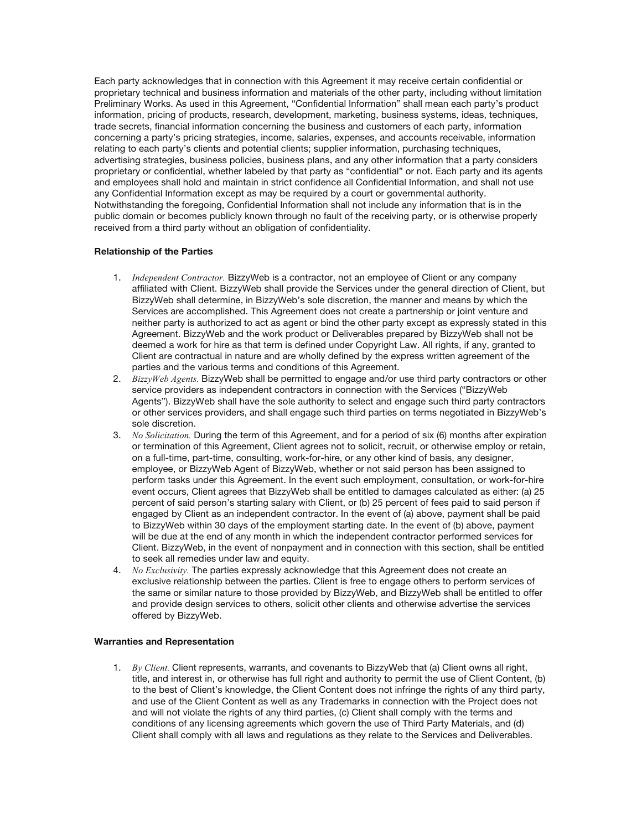Each party acknowledges that in connection with this Agreement it may receive certain confidential or proprietary technical and business information and materials of the other party, including without limitation Preliminary Works. As used in this Agreement, "Confidential Information" shall mean each party's product information, pricing of products, research, development, marketing, business systems, ideas, techniques, trade secrets, financial information concerning the business and customers of each party, information concerning a party's pricing strategies, income, salaries, expenses, and accounts receivable, information relating to each party's clients and potential clients; supplier information, purchasing techniques, advertising strategies, business policies, business plans, and any other information that a party considers proprietary or confidential, whether labeled by that party as "confidential" or not. Each party and its agents and employees shall hold and maintain in strict confidence all Confidential Information, and shall not use any Confidential Information except as may be required by a court or governmental authority. Notwithstanding the foregoing, Confidential Information shall not include any information that is in the public domain or becomes publicly known through no fault of the receiving party, or is otherwise properly received from a third party without an obligation of confidentiality.

# **Relationship of the Parties**

- 1. *Independent Contractor.* BizzyWeb is a contractor, not an employee of Client or any company affiliated with Client. BizzyWeb shall provide the Services under the general direction of Client, but BizzyWeb shall determine, in BizzyWeb's sole discretion, the manner and means by which the Services are accomplished. This Agreement does not create a partnership or joint venture and neither party is authorized to act as agent or bind the other party except as expressly stated in this Agreement. BizzyWeb and the work product or Deliverables prepared by BizzyWeb shall not be deemed a work for hire as that term is defined under Copyright Law. All rights, if any, granted to Client are contractual in nature and are wholly defined by the express written agreement of the parties and the various terms and conditions of this Agreement.
- 2. *BizzyWeb Agents.* BizzyWeb shall be permitted to engage and/or use third party contractors or other service providers as independent contractors in connection with the Services ("BizzyWeb Agents"). BizzyWeb shall have the sole authority to select and engage such third party contractors or other services providers, and shall engage such third parties on terms negotiated in BizzyWeb's sole discretion.
- 3. *No Solicitation.* During the term of this Agreement, and for a period of six (6) months after expiration or termination of this Agreement, Client agrees not to solicit, recruit, or otherwise employ or retain, on a full-time, part-time, consulting, work-for-hire, or any other kind of basis, any designer, employee, or BizzyWeb Agent of BizzyWeb, whether or not said person has been assigned to perform tasks under this Agreement. In the event such employment, consultation, or work-for-hire event occurs, Client agrees that BizzyWeb shall be entitled to damages calculated as either: (a) 25 percent of said person's starting salary with Client, or (b) 25 percent of fees paid to said person if engaged by Client as an independent contractor. In the event of (a) above, payment shall be paid to BizzyWeb within 30 days of the employment starting date. In the event of (b) above, payment will be due at the end of any month in which the independent contractor performed services for Client. BizzyWeb, in the event of nonpayment and in connection with this section, shall be entitled to seek all remedies under law and equity.
- 4. *No Exclusivity.* The parties expressly acknowledge that this Agreement does not create an exclusive relationship between the parties. Client is free to engage others to perform services of the same or similar nature to those provided by BizzyWeb, and BizzyWeb shall be entitled to offer and provide design services to others, solicit other clients and otherwise advertise the services offered by BizzyWeb.

#### **Warranties and Representation**

1. *By Client.* Client represents, warrants, and covenants to BizzyWeb that (a) Client owns all right, title, and interest in, or otherwise has full right and authority to permit the use of Client Content, (b) to the best of Client's knowledge, the Client Content does not infringe the rights of any third party, and use of the Client Content as well as any Trademarks in connection with the Project does not and will not violate the rights of any third parties, (c) Client shall comply with the terms and conditions of any licensing agreements which govern the use of Third Party Materials, and (d) Client shall comply with all laws and regulations as they relate to the Services and Deliverables.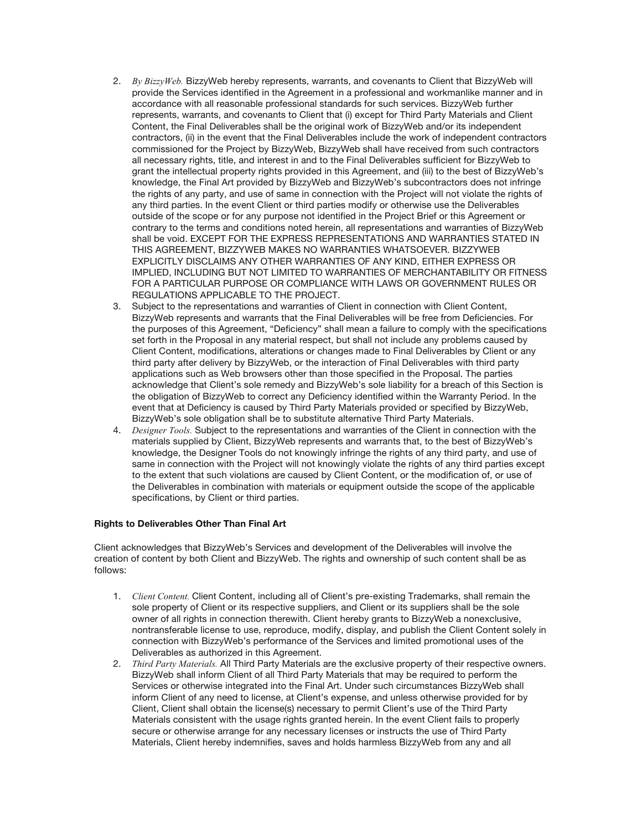- 2. *By BizzyWeb.* BizzyWeb hereby represents, warrants, and covenants to Client that BizzyWeb will provide the Services identified in the Agreement in a professional and workmanlike manner and in accordance with all reasonable professional standards for such services. BizzyWeb further represents, warrants, and covenants to Client that (i) except for Third Party Materials and Client Content, the Final Deliverables shall be the original work of BizzyWeb and/or its independent contractors, (ii) in the event that the Final Deliverables include the work of independent contractors commissioned for the Project by BizzyWeb, BizzyWeb shall have received from such contractors all necessary rights, title, and interest in and to the Final Deliverables sufficient for BizzyWeb to grant the intellectual property rights provided in this Agreement, and (iii) to the best of BizzyWeb's knowledge, the Final Art provided by BizzyWeb and BizzyWeb's subcontractors does not infringe the rights of any party, and use of same in connection with the Project will not violate the rights of any third parties. In the event Client or third parties modify or otherwise use the Deliverables outside of the scope or for any purpose not identified in the Project Brief or this Agreement or contrary to the terms and conditions noted herein, all representations and warranties of BizzyWeb shall be void. EXCEPT FOR THE EXPRESS REPRESENTATIONS AND WARRANTIES STATED IN THIS AGREEMENT, BIZZYWEB MAKES NO WARRANTIES WHATSOEVER. BIZZYWEB EXPLICITLY DISCLAIMS ANY OTHER WARRANTIES OF ANY KIND, EITHER EXPRESS OR IMPLIED, INCLUDING BUT NOT LIMITED TO WARRANTIES OF MERCHANTABILITY OR FITNESS FOR A PARTICULAR PURPOSE OR COMPLIANCE WITH LAWS OR GOVERNMENT RULES OR REGULATIONS APPLICABLE TO THE PROJECT.
- 3. Subject to the representations and warranties of Client in connection with Client Content, BizzyWeb represents and warrants that the Final Deliverables will be free from Deficiencies. For the purposes of this Agreement, "Deficiency" shall mean a failure to comply with the specifications set forth in the Proposal in any material respect, but shall not include any problems caused by Client Content, modifications, alterations or changes made to Final Deliverables by Client or any third party after delivery by BizzyWeb, or the interaction of Final Deliverables with third party applications such as Web browsers other than those specified in the Proposal. The parties acknowledge that Client's sole remedy and BizzyWeb's sole liability for a breach of this Section is the obligation of BizzyWeb to correct any Deficiency identified within the Warranty Period. In the event that at Deficiency is caused by Third Party Materials provided or specified by BizzyWeb, BizzyWeb's sole obligation shall be to substitute alternative Third Party Materials.
- 4. *Designer Tools.* Subject to the representations and warranties of the Client in connection with the materials supplied by Client, BizzyWeb represents and warrants that, to the best of BizzyWeb's knowledge, the Designer Tools do not knowingly infringe the rights of any third party, and use of same in connection with the Project will not knowingly violate the rights of any third parties except to the extent that such violations are caused by Client Content, or the modification of, or use of the Deliverables in combination with materials or equipment outside the scope of the applicable specifications, by Client or third parties.

# **Rights to Deliverables Other Than Final Art**

Client acknowledges that BizzyWeb's Services and development of the Deliverables will involve the creation of content by both Client and BizzyWeb. The rights and ownership of such content shall be as follows:

- 1. *Client Content.* Client Content, including all of Client's pre-existing Trademarks, shall remain the sole property of Client or its respective suppliers, and Client or its suppliers shall be the sole owner of all rights in connection therewith. Client hereby grants to BizzyWeb a nonexclusive, nontransferable license to use, reproduce, modify, display, and publish the Client Content solely in connection with BizzyWeb's performance of the Services and limited promotional uses of the Deliverables as authorized in this Agreement.
- 2. *Third Party Materials.* All Third Party Materials are the exclusive property of their respective owners. BizzyWeb shall inform Client of all Third Party Materials that may be required to perform the Services or otherwise integrated into the Final Art. Under such circumstances BizzyWeb shall inform Client of any need to license, at Client's expense, and unless otherwise provided for by Client, Client shall obtain the license(s) necessary to permit Client's use of the Third Party Materials consistent with the usage rights granted herein. In the event Client fails to properly secure or otherwise arrange for any necessary licenses or instructs the use of Third Party Materials, Client hereby indemnifies, saves and holds harmless BizzyWeb from any and all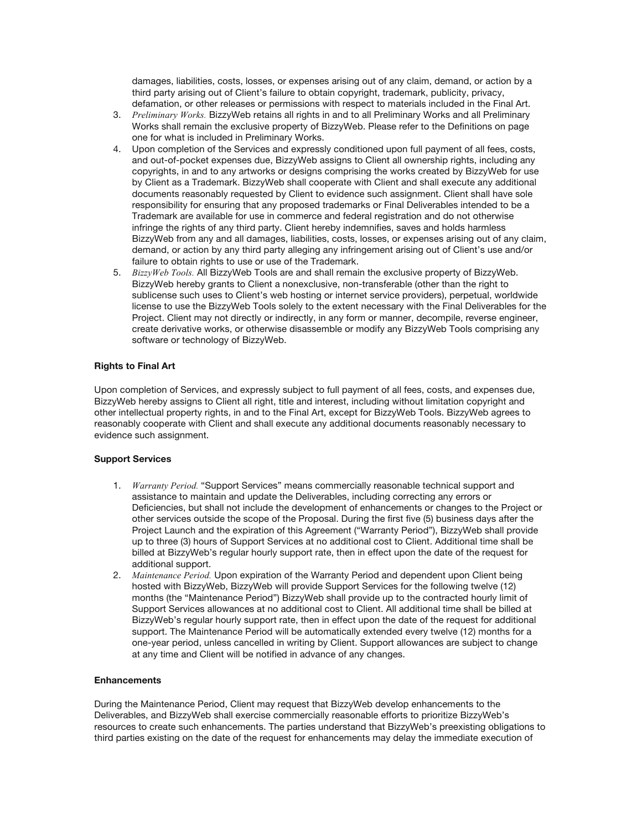damages, liabilities, costs, losses, or expenses arising out of any claim, demand, or action by a third party arising out of Client's failure to obtain copyright, trademark, publicity, privacy, defamation, or other releases or permissions with respect to materials included in the Final Art.

- 3. *Preliminary Works.* BizzyWeb retains all rights in and to all Preliminary Works and all Preliminary Works shall remain the exclusive property of BizzyWeb. Please refer to the Definitions on page one for what is included in Preliminary Works.
- 4. Upon completion of the Services and expressly conditioned upon full payment of all fees, costs, and out-of-pocket expenses due, BizzyWeb assigns to Client all ownership rights, including any copyrights, in and to any artworks or designs comprising the works created by BizzyWeb for use by Client as a Trademark. BizzyWeb shall cooperate with Client and shall execute any additional documents reasonably requested by Client to evidence such assignment. Client shall have sole responsibility for ensuring that any proposed trademarks or Final Deliverables intended to be a Trademark are available for use in commerce and federal registration and do not otherwise infringe the rights of any third party. Client hereby indemnifies, saves and holds harmless BizzyWeb from any and all damages, liabilities, costs, losses, or expenses arising out of any claim, demand, or action by any third party alleging any infringement arising out of Client's use and/or failure to obtain rights to use or use of the Trademark.
- 5. *BizzyWeb Tools.* All BizzyWeb Tools are and shall remain the exclusive property of BizzyWeb. BizzyWeb hereby grants to Client a nonexclusive, non-transferable (other than the right to sublicense such uses to Client's web hosting or internet service providers), perpetual, worldwide license to use the BizzyWeb Tools solely to the extent necessary with the Final Deliverables for the Project. Client may not directly or indirectly, in any form or manner, decompile, reverse engineer, create derivative works, or otherwise disassemble or modify any BizzyWeb Tools comprising any software or technology of BizzyWeb.

# **Rights to Final Art**

Upon completion of Services, and expressly subject to full payment of all fees, costs, and expenses due, BizzyWeb hereby assigns to Client all right, title and interest, including without limitation copyright and other intellectual property rights, in and to the Final Art, except for BizzyWeb Tools. BizzyWeb agrees to reasonably cooperate with Client and shall execute any additional documents reasonably necessary to evidence such assignment.

# **Support Services**

- 1. *Warranty Period.* "Support Services" means commercially reasonable technical support and assistance to maintain and update the Deliverables, including correcting any errors or Deficiencies, but shall not include the development of enhancements or changes to the Project or other services outside the scope of the Proposal. During the first five (5) business days after the Project Launch and the expiration of this Agreement ("Warranty Period"), BizzyWeb shall provide up to three (3) hours of Support Services at no additional cost to Client. Additional time shall be billed at BizzyWeb's regular hourly support rate, then in effect upon the date of the request for additional support.
- 2. *Maintenance Period.* Upon expiration of the Warranty Period and dependent upon Client being hosted with BizzyWeb, BizzyWeb will provide Support Services for the following twelve (12) months (the "Maintenance Period") BizzyWeb shall provide up to the contracted hourly limit of Support Services allowances at no additional cost to Client. All additional time shall be billed at BizzyWeb's regular hourly support rate, then in effect upon the date of the request for additional support. The Maintenance Period will be automatically extended every twelve (12) months for a one-year period, unless cancelled in writing by Client. Support allowances are subject to change at any time and Client will be notified in advance of any changes.

#### **Enhancements**

During the Maintenance Period, Client may request that BizzyWeb develop enhancements to the Deliverables, and BizzyWeb shall exercise commercially reasonable efforts to prioritize BizzyWeb's resources to create such enhancements. The parties understand that BizzyWeb's preexisting obligations to third parties existing on the date of the request for enhancements may delay the immediate execution of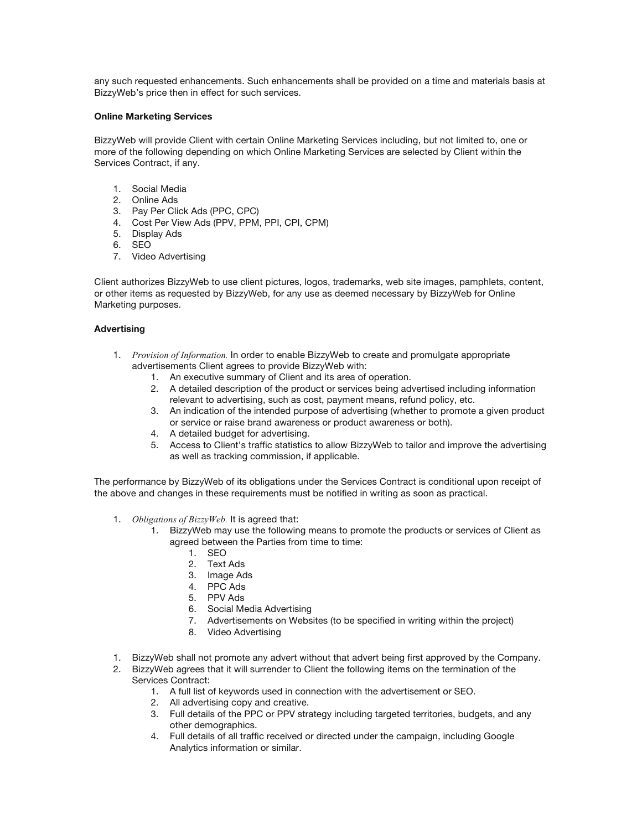any such requested enhancements. Such enhancements shall be provided on a time and materials basis at BizzyWeb's price then in effect for such services.

## **Online Marketing Services**

BizzyWeb will provide Client with certain Online Marketing Services including, but not limited to, one or more of the following depending on which Online Marketing Services are selected by Client within the Services Contract, if any.

- 1. Social Media
- 2. Online Ads
- 3. Pay Per Click Ads (PPC, CPC)
- 4. Cost Per View Ads (PPV, PPM, PPI, CPI, CPM)
- 5. Display Ads
- 6. SEO
- 7. Video Advertising

Client authorizes BizzyWeb to use client pictures, logos, trademarks, web site images, pamphlets, content, or other items as requested by BizzyWeb, for any use as deemed necessary by BizzyWeb for Online Marketing purposes.

## **Advertising**

- 1. *Provision of Information.* In order to enable BizzyWeb to create and promulgate appropriate advertisements Client agrees to provide BizzyWeb with:
	- 1. An executive summary of Client and its area of operation.
	- 2. A detailed description of the product or services being advertised including information relevant to advertising, such as cost, payment means, refund policy, etc.
	- 3. An indication of the intended purpose of advertising (whether to promote a given product or service or raise brand awareness or product awareness or both).
	- 4. A detailed budget for advertising.
	- 5. Access to Client's traffic statistics to allow BizzyWeb to tailor and improve the advertising as well as tracking commission, if applicable.

The performance by BizzyWeb of its obligations under the Services Contract is conditional upon receipt of the above and changes in these requirements must be notified in writing as soon as practical.

- 1. *Obligations of BizzyWeb.* It is agreed that:
	- 1. BizzyWeb may use the following means to promote the products or services of Client as agreed between the Parties from time to time:
		- 1. SEO
		- 2. Text Ads
		- 3. Image Ads
		- 4. PPC Ads
		- 5. PPV Ads
		- 6. Social Media Advertising
		- 7. Advertisements on Websites (to be specified in writing within the project)
		- 8. Video Advertising
- 1. BizzyWeb shall not promote any advert without that advert being first approved by the Company.
- 2. BizzyWeb agrees that it will surrender to Client the following items on the termination of the Services Contract:
	- 1. A full list of keywords used in connection with the advertisement or SEO.
	- 2. All advertising copy and creative.
	- 3. Full details of the PPC or PPV strategy including targeted territories, budgets, and any other demographics.
	- 4. Full details of all traffic received or directed under the campaign, including Google Analytics information or similar.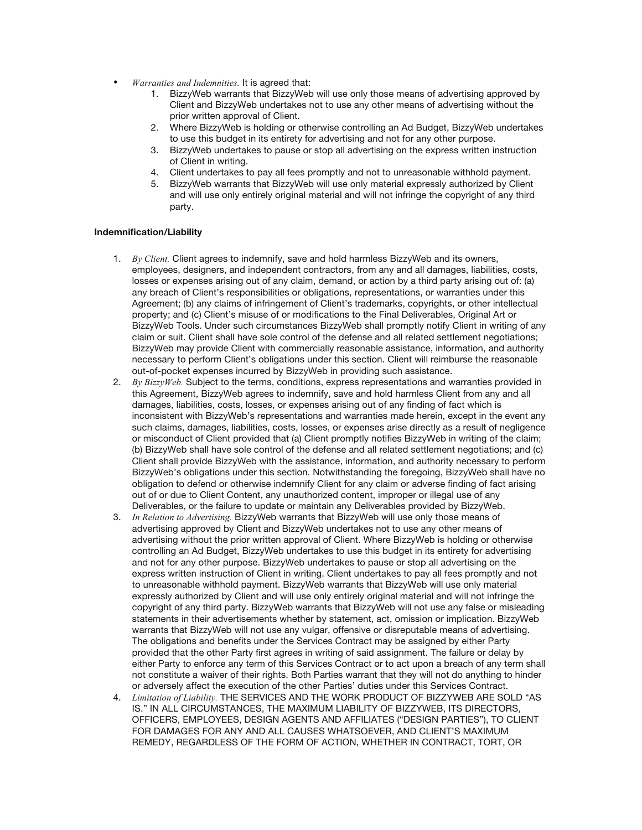- *Warranties and Indemnities.* It is agreed that:
	- 1. BizzyWeb warrants that BizzyWeb will use only those means of advertising approved by Client and BizzyWeb undertakes not to use any other means of advertising without the prior written approval of Client.
	- 2. Where BizzyWeb is holding or otherwise controlling an Ad Budget, BizzyWeb undertakes to use this budget in its entirety for advertising and not for any other purpose.
	- 3. BizzyWeb undertakes to pause or stop all advertising on the express written instruction of Client in writing.
	- 4. Client undertakes to pay all fees promptly and not to unreasonable withhold payment.
	- 5. BizzyWeb warrants that BizzyWeb will use only material expressly authorized by Client and will use only entirely original material and will not infringe the copyright of any third party.

#### **Indemnification/Liability**

- 1. *By Client.* Client agrees to indemnify, save and hold harmless BizzyWeb and its owners, employees, designers, and independent contractors, from any and all damages, liabilities, costs, losses or expenses arising out of any claim, demand, or action by a third party arising out of: (a) any breach of Client's responsibilities or obligations, representations, or warranties under this Agreement; (b) any claims of infringement of Client's trademarks, copyrights, or other intellectual property; and (c) Client's misuse of or modifications to the Final Deliverables, Original Art or BizzyWeb Tools. Under such circumstances BizzyWeb shall promptly notify Client in writing of any claim or suit. Client shall have sole control of the defense and all related settlement negotiations; BizzyWeb may provide Client with commercially reasonable assistance, information, and authority necessary to perform Client's obligations under this section. Client will reimburse the reasonable out-of-pocket expenses incurred by BizzyWeb in providing such assistance.
- 2. *By BizzyWeb.* Subject to the terms, conditions, express representations and warranties provided in this Agreement, BizzyWeb agrees to indemnify, save and hold harmless Client from any and all damages, liabilities, costs, losses, or expenses arising out of any finding of fact which is inconsistent with BizzyWeb's representations and warranties made herein, except in the event any such claims, damages, liabilities, costs, losses, or expenses arise directly as a result of negligence or misconduct of Client provided that (a) Client promptly notifies BizzyWeb in writing of the claim; (b) BizzyWeb shall have sole control of the defense and all related settlement negotiations; and (c) Client shall provide BizzyWeb with the assistance, information, and authority necessary to perform BizzyWeb's obligations under this section. Notwithstanding the foregoing, BizzyWeb shall have no obligation to defend or otherwise indemnify Client for any claim or adverse finding of fact arising out of or due to Client Content, any unauthorized content, improper or illegal use of any Deliverables, or the failure to update or maintain any Deliverables provided by BizzyWeb.
- 3. *In Relation to Advertising.* BizzyWeb warrants that BizzyWeb will use only those means of advertising approved by Client and BizzyWeb undertakes not to use any other means of advertising without the prior written approval of Client. Where BizzyWeb is holding or otherwise controlling an Ad Budget, BizzyWeb undertakes to use this budget in its entirety for advertising and not for any other purpose. BizzyWeb undertakes to pause or stop all advertising on the express written instruction of Client in writing. Client undertakes to pay all fees promptly and not to unreasonable withhold payment. BizzyWeb warrants that BizzyWeb will use only material expressly authorized by Client and will use only entirely original material and will not infringe the copyright of any third party. BizzyWeb warrants that BizzyWeb will not use any false or misleading statements in their advertisements whether by statement, act, omission or implication. BizzyWeb warrants that BizzyWeb will not use any vulgar, offensive or disreputable means of advertising. The obligations and benefits under the Services Contract may be assigned by either Party provided that the other Party first agrees in writing of said assignment. The failure or delay by either Party to enforce any term of this Services Contract or to act upon a breach of any term shall not constitute a waiver of their rights. Both Parties warrant that they will not do anything to hinder or adversely affect the execution of the other Parties' duties under this Services Contract.
- 4. *Limitation of Liability.* THE SERVICES AND THE WORK PRODUCT OF BIZZYWEB ARE SOLD "AS IS." IN ALL CIRCUMSTANCES, THE MAXIMUM LIABILITY OF BIZZYWEB, ITS DIRECTORS, OFFICERS, EMPLOYEES, DESIGN AGENTS AND AFFILIATES ("DESIGN PARTIES"), TO CLIENT FOR DAMAGES FOR ANY AND ALL CAUSES WHATSOEVER, AND CLIENT'S MAXIMUM REMEDY, REGARDLESS OF THE FORM OF ACTION, WHETHER IN CONTRACT, TORT, OR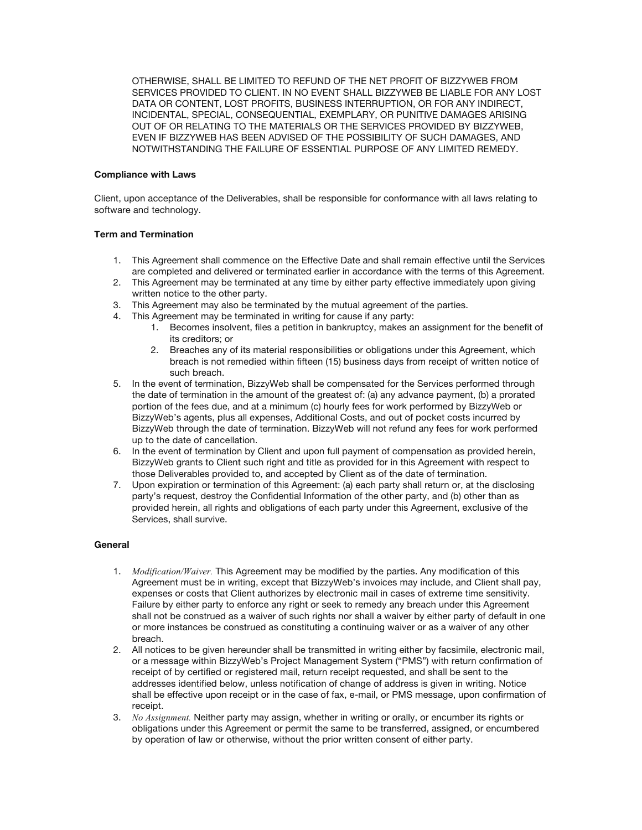OTHERWISE, SHALL BE LIMITED TO REFUND OF THE NET PROFIT OF BIZZYWEB FROM SERVICES PROVIDED TO CLIENT. IN NO EVENT SHALL BIZZYWEB BE LIABLE FOR ANY LOST DATA OR CONTENT, LOST PROFITS, BUSINESS INTERRUPTION, OR FOR ANY INDIRECT, INCIDENTAL, SPECIAL, CONSEQUENTIAL, EXEMPLARY, OR PUNITIVE DAMAGES ARISING OUT OF OR RELATING TO THE MATERIALS OR THE SERVICES PROVIDED BY BIZZYWEB, EVEN IF BIZZYWEB HAS BEEN ADVISED OF THE POSSIBILITY OF SUCH DAMAGES, AND NOTWITHSTANDING THE FAILURE OF ESSENTIAL PURPOSE OF ANY LIMITED REMEDY.

## **Compliance with Laws**

Client, upon acceptance of the Deliverables, shall be responsible for conformance with all laws relating to software and technology.

## **Term and Termination**

- 1. This Agreement shall commence on the Effective Date and shall remain effective until the Services are completed and delivered or terminated earlier in accordance with the terms of this Agreement.
- 2. This Agreement may be terminated at any time by either party effective immediately upon giving written notice to the other party.
- 3. This Agreement may also be terminated by the mutual agreement of the parties.
- 4. This Agreement may be terminated in writing for cause if any party:
	- 1. Becomes insolvent, files a petition in bankruptcy, makes an assignment for the benefit of its creditors; or
	- 2. Breaches any of its material responsibilities or obligations under this Agreement, which breach is not remedied within fifteen (15) business days from receipt of written notice of such breach.
- 5. In the event of termination, BizzyWeb shall be compensated for the Services performed through the date of termination in the amount of the greatest of: (a) any advance payment, (b) a prorated portion of the fees due, and at a minimum (c) hourly fees for work performed by BizzyWeb or BizzyWeb's agents, plus all expenses, Additional Costs, and out of pocket costs incurred by BizzyWeb through the date of termination. BizzyWeb will not refund any fees for work performed up to the date of cancellation.
- 6. In the event of termination by Client and upon full payment of compensation as provided herein, BizzyWeb grants to Client such right and title as provided for in this Agreement with respect to those Deliverables provided to, and accepted by Client as of the date of termination.
- 7. Upon expiration or termination of this Agreement: (a) each party shall return or, at the disclosing party's request, destroy the Confidential Information of the other party, and (b) other than as provided herein, all rights and obligations of each party under this Agreement, exclusive of the Services, shall survive.

#### **General**

- 1. *Modification/Waiver.* This Agreement may be modified by the parties. Any modification of this Agreement must be in writing, except that BizzyWeb's invoices may include, and Client shall pay, expenses or costs that Client authorizes by electronic mail in cases of extreme time sensitivity. Failure by either party to enforce any right or seek to remedy any breach under this Agreement shall not be construed as a waiver of such rights nor shall a waiver by either party of default in one or more instances be construed as constituting a continuing waiver or as a waiver of any other breach.
- 2. All notices to be given hereunder shall be transmitted in writing either by facsimile, electronic mail, or a message within BizzyWeb's Project Management System ("PMS") with return confirmation of receipt of by certified or registered mail, return receipt requested, and shall be sent to the addresses identified below, unless notification of change of address is given in writing. Notice shall be effective upon receipt or in the case of fax, e-mail, or PMS message, upon confirmation of receipt.
- 3. *No Assignment.* Neither party may assign, whether in writing or orally, or encumber its rights or obligations under this Agreement or permit the same to be transferred, assigned, or encumbered by operation of law or otherwise, without the prior written consent of either party.